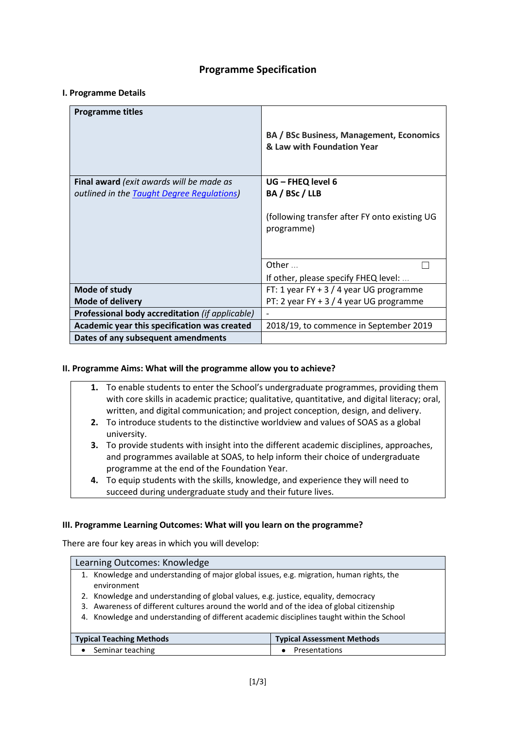# **Programme Specification**

## **I. Programme Details**

| <b>Programme titles</b>                            |                                                                               |
|----------------------------------------------------|-------------------------------------------------------------------------------|
|                                                    | <b>BA / BSc Business, Management, Economics</b><br>& Law with Foundation Year |
| Final award (exit awards will be made as           | UG - FHEQ level 6                                                             |
| outlined in the <b>Taught Degree Regulations</b> ) | BA / BSc / LLB                                                                |
|                                                    | (following transfer after FY onto existing UG<br>programme)                   |
|                                                    | Other                                                                         |
|                                                    | If other, please specify FHEQ level:                                          |
| Mode of study                                      | FT: 1 year FY + 3 / 4 year UG programme                                       |
| <b>Mode of delivery</b>                            | PT: 2 year FY + 3 / 4 year UG programme                                       |
| Professional body accreditation (if applicable)    |                                                                               |
| Academic year this specification was created       | 2018/19, to commence in September 2019                                        |
| Dates of any subsequent amendments                 |                                                                               |

## **II. Programme Aims: What will the programme allow you to achieve?**

- **1.** To enable students to enter the School's undergraduate programmes, providing them with core skills in academic practice; qualitative, quantitative, and digital literacy; oral, written, and digital communication; and project conception, design, and delivery.
- **2.** To introduce students to the distinctive worldview and values of SOAS as a global university.
- **3.** To provide students with insight into the different academic disciplines, approaches, and programmes available at SOAS, to help inform their choice of undergraduate programme at the end of the Foundation Year.
- **4.** To equip students with the skills, knowledge, and experience they will need to succeed during undergraduate study and their future lives.

## **III. Programme Learning Outcomes: What will you learn on the programme?**

There are four key areas in which you will develop:

| Learning Outcomes: Knowledge                                                                            |                                   |  |
|---------------------------------------------------------------------------------------------------------|-----------------------------------|--|
| 1. Knowledge and understanding of major global issues, e.g. migration, human rights, the<br>environment |                                   |  |
| Knowledge and understanding of global values, e.g. justice, equality, democracy<br>2.                   |                                   |  |
| Awareness of different cultures around the world and of the idea of global citizenship<br>3.            |                                   |  |
| 4. Knowledge and understanding of different academic disciplines taught within the School               |                                   |  |
|                                                                                                         |                                   |  |
| <b>Typical Teaching Methods</b>                                                                         | <b>Typical Assessment Methods</b> |  |
| Seminar teaching                                                                                        | Presentations                     |  |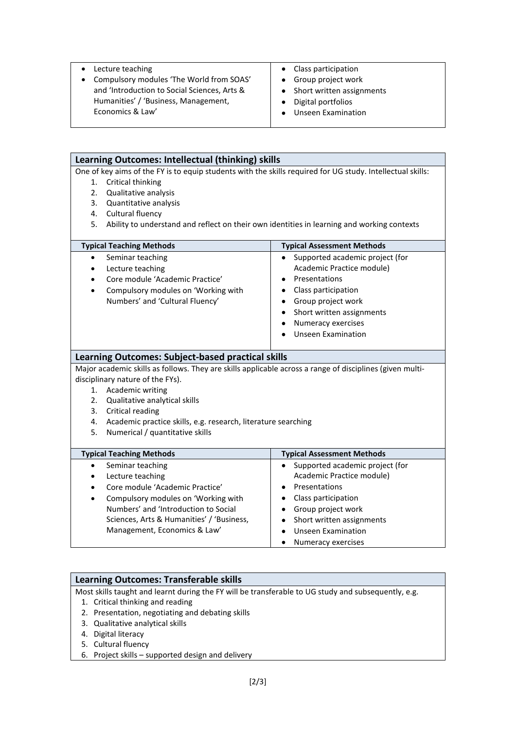• Lecture teaching • Compulsory modules 'The World from SOAS' and 'Introduction to Social Sciences, Arts & Humanities' / 'Business, Management, Economics & Law' • Class participation • Group project work • Short written assignments • Digital portfolios • Unseen Examination

| Learning Outcomes: Intellectual (thinking) skills                                                          |                                                               |                                                                                                          |
|------------------------------------------------------------------------------------------------------------|---------------------------------------------------------------|----------------------------------------------------------------------------------------------------------|
| One of key aims of the FY is to equip students with the skills required for UG study. Intellectual skills: |                                                               |                                                                                                          |
| 1.                                                                                                         | Critical thinking                                             |                                                                                                          |
| 2.                                                                                                         | Qualitative analysis                                          |                                                                                                          |
| 3.                                                                                                         | Quantitative analysis                                         |                                                                                                          |
|                                                                                                            | 4. Cultural fluency                                           |                                                                                                          |
| 5.<br>Ability to understand and reflect on their own identities in learning and working contexts           |                                                               |                                                                                                          |
|                                                                                                            | <b>Typical Teaching Methods</b>                               | <b>Typical Assessment Methods</b>                                                                        |
|                                                                                                            | Seminar teaching                                              | Supported academic project (for<br>$\bullet$                                                             |
|                                                                                                            | Lecture teaching                                              | Academic Practice module)                                                                                |
|                                                                                                            | Core module 'Academic Practice'                               | Presentations                                                                                            |
| $\bullet$                                                                                                  | Compulsory modules on 'Working with                           | Class participation<br>$\bullet$                                                                         |
|                                                                                                            | Numbers' and 'Cultural Fluency'                               | Group project work<br>$\bullet$                                                                          |
|                                                                                                            |                                                               | Short written assignments<br>$\bullet$                                                                   |
|                                                                                                            |                                                               | Numeracy exercises<br>٠                                                                                  |
|                                                                                                            |                                                               | <b>Unseen Examination</b>                                                                                |
|                                                                                                            |                                                               |                                                                                                          |
|                                                                                                            | <b>Learning Outcomes: Subject-based practical skills</b>      |                                                                                                          |
|                                                                                                            |                                                               | Major academic skills as follows. They are skills applicable across a range of disciplines (given multi- |
|                                                                                                            | disciplinary nature of the FYs).                              |                                                                                                          |
| 1.                                                                                                         | <b>Academic writing</b>                                       |                                                                                                          |
|                                                                                                            | 2.<br>Qualitative analytical skills                           |                                                                                                          |
| 3.                                                                                                         | Critical reading                                              |                                                                                                          |
| 4.                                                                                                         | Academic practice skills, e.g. research, literature searching |                                                                                                          |
| 5.                                                                                                         | Numerical / quantitative skills                               |                                                                                                          |
|                                                                                                            | <b>Typical Teaching Methods</b>                               | <b>Typical Assessment Methods</b>                                                                        |
| $\bullet$                                                                                                  | Seminar teaching                                              | Supported academic project (for<br>$\bullet$                                                             |
| $\bullet$                                                                                                  | Lecture teaching                                              | Academic Practice module)                                                                                |
| $\bullet$                                                                                                  | Core module 'Academic Practice'                               | Presentations                                                                                            |
| $\bullet$                                                                                                  | Compulsory modules on 'Working with                           | Class participation<br>$\bullet$                                                                         |
|                                                                                                            | Numbers' and 'Introduction to Social                          | • Group project work                                                                                     |
|                                                                                                            | Sciences, Arts & Humanities' / 'Business,                     | Short written assignments<br>$\bullet$                                                                   |
|                                                                                                            | Management, Economics & Law'                                  | <b>Unseen Examination</b><br>$\bullet$                                                                   |
|                                                                                                            |                                                               | Numeracy exercises<br>$\bullet$                                                                          |

## **Learning Outcomes: Transferable skills**

Most skills taught and learnt during the FY will be transferable to UG study and subsequently, e.g.

- 1. Critical thinking and reading
- 2. Presentation, negotiating and debating skills
- 3. Qualitative analytical skills
- 4. Digital literacy
- 5. Cultural fluency
- 6. Project skills supported design and delivery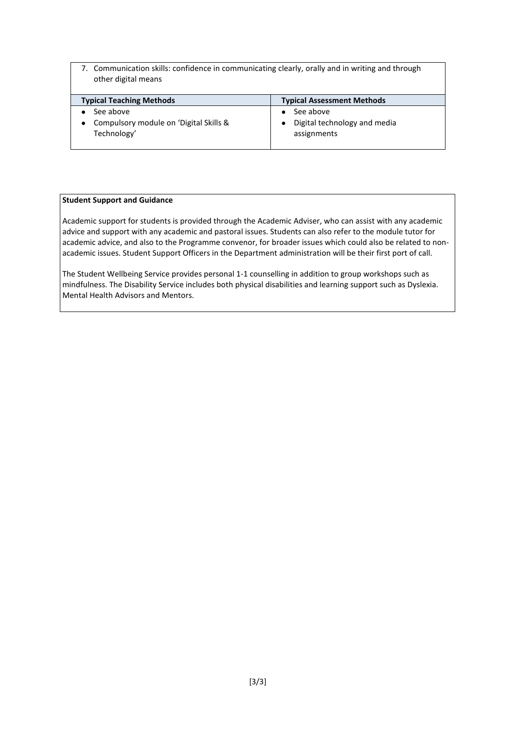7. Communication skills: confidence in communicating clearly, orally and in writing and through other digital means

| <b>Typical Teaching Methods</b>                       | <b>Typical Assessment Methods</b>           |
|-------------------------------------------------------|---------------------------------------------|
| See above                                             | See above                                   |
| Compulsory module on 'Digital Skills &<br>Technology' | Digital technology and media<br>assignments |

#### **Student Support and Guidance**

Academic support for students is provided through the Academic Adviser, who can assist with any academic advice and support with any academic and pastoral issues. Students can also refer to the module tutor for academic advice, and also to the Programme convenor, for broader issues which could also be related to nonacademic issues. Student Support Officers in the Department administration will be their first port of call.

The Student Wellbeing Service provides personal 1-1 counselling in addition to group workshops such as mindfulness. The Disability Service includes both physical disabilities and learning support such as Dyslexia. Mental Health Advisors and Mentors.